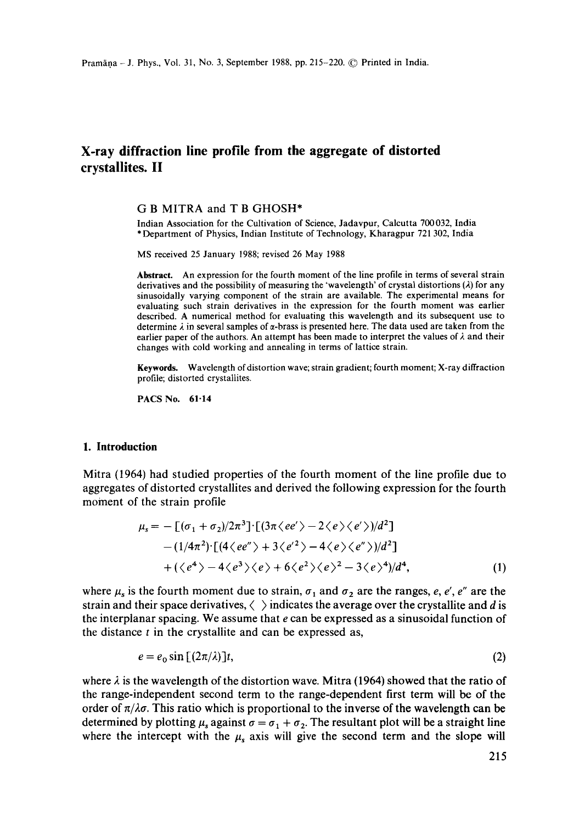# **X-ray diffraction line profile from the aggregate of distorted crystallites. II**

### G B MITRA and T B GHOSH\*

Indian Association for the Cultivation of Science, Jadavpur, Calcutta 700032, India \* Department of Physics, Indian Institute of Technology, Kharagpur 721 302, India

MS received 25 January 1988; revised 26 May 1988

**Abstract.** An expression for the fourth moment of the line profile in terms of several strain derivatives and the possibility of measuring the 'wavelength' of crystal distortions  $(\lambda)$  for any sinusoidally varying component of the strain are available. The experimental means for evaluating such strain derivatives in the expression for the fourth moment was earlier described. A numerical method for evaluating this wavelength and its subsequent use to determine  $\lambda$  in several samples of  $\alpha$ -brass is presented here. The data used are taken from the earlier paper of the authors. An attempt has been made to interpret the values of  $\lambda$  and their changes with cold working and annealing in terms of lattice strain.

**Keywords.** Wavelength of distortion wave; strain gradient; fourth moment; X-ray diffraction profile; distorted crystallites.

PACS No. 61-14

#### **1. Introduction**

Mitra (1964) had studied properties of the fourth moment of the line profile due to aggregates of distorted crystallites and derived the following expression for the fourth moment of the strain profile

$$
\mu_s = -\left[ (\sigma_1 + \sigma_2)/2\pi^3 \right] \cdot \left[ (3\pi \langle ee' \rangle - 2 \langle e \rangle \langle e' \rangle)/d^2 \right] - (1/4\pi^2) \cdot \left[ (4 \langle ee'' \rangle + 3 \langle e'^2 \rangle - 4 \langle e \rangle \langle e'' \rangle)/d^2 \right] + (\langle e^4 \rangle - 4 \langle e^3 \rangle \langle e \rangle + 6 \langle e^2 \rangle \langle e \rangle^2 - 3 \langle e \rangle^4)/d^4,
$$
 (1)

where  $\mu_s$  is the fourth moment due to strain,  $\sigma_1$  and  $\sigma_2$  are the ranges, e, e', e'' are the strain and their space derivatives,  $\langle \rangle$  indicates the average over the crystallite and d is the interplanar spacing. We assume that  $e$  can be expressed as a sinusoidal function of the distance  $t$  in the crystallite and can be expressed as,

$$
e = e_0 \sin \left[ (2\pi/\lambda) \right] t,\tag{2}
$$

where  $\lambda$  is the wavelength of the distortion wave. Mitra (1964) showed that the ratio of the range-independent second term to the range-dependent first term will be of the order of  $\pi/\lambda\sigma$ . This ratio which is proportional to the inverse of the wavelength can be determined by plotting  $\mu_s$  against  $\sigma = \sigma_1 + \sigma_2$ . The resultant plot will be a straight line where the intercept with the  $\mu_s$  axis will give the second term and the slope will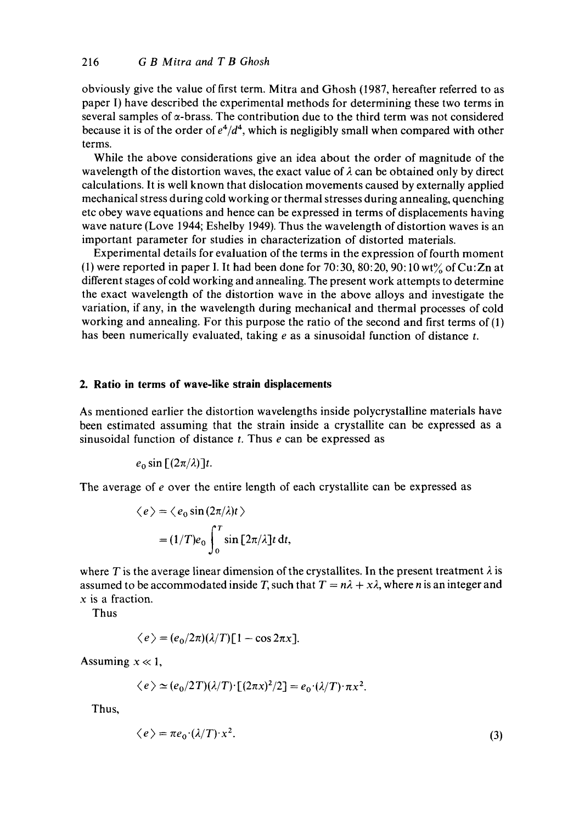obviously give the value of first term. Mitra and Ghosh (1987, hereafter referred to as paper I) have described the experimental methods for determining these two terms in several samples of  $\alpha$ -brass. The contribution due to the third term was not considered because it is of the order of  $e^4/d^4$ , which is negligibly small when compared with other terms.

While the above considerations give an idea about the order of magnitude of the wavelength of the distortion waves, the exact value of  $\lambda$  can be obtained only by direct calculations. It is well known that dislocation movements caused by externally applied mechanical stress during cold working or thermal stresses during annealing, quenching etc obey wave equations and hence can be expressed in terms of displacements having wave nature (Love 1944; Eshelby 1949). Thus the wavelength of distortion waves is an important parameter for studies in characterization of distorted materials.

Experimental details for evaluation of the terms in the expression of fourth moment (1) were reported in paper I. It had been done for 70:30, 80:20, 90:10 wt% of Cu:Zn at different stages of cold working and annealing. The present work attempts to determine the exact wavelength of the distortion wave in the above alloys and investigate the variation, if any, in the wavelength during mechanical and thermal processes of cold working and annealing. For this purpose the ratio of the second and first terms of (1) has been numerically evaluated, taking  $e$  as a sinusoidal function of distance  $t$ .

#### **2. Ratio in terms of wave-like strain displacements**

As mentioned earlier the distortion wavelengths inside polycrystalline materials have been estimated assuming that the strain inside a crystallite can be expressed as a sinusoidal function of distance  $t$ . Thus  $e$  can be expressed as

$$
e_0 \sin \left[ \left( 2\pi/\lambda \right) \right] t.
$$

The average of e over the entire length of each crystallite can be expressed as

$$
\langle e \rangle = \langle e_0 \sin(2\pi/\lambda)t \rangle
$$
  
=  $(1/T)e_0 \int_0^T \sin[2\pi/\lambda]t dt$ ,

where T is the average linear dimension of the crystallites. In the present treatment  $\lambda$  is assumed to be accommodated inside T, such that  $T = n\lambda + x\lambda$ , where n is an integer and x is a fraction.

Thus

$$
\langle e \rangle = (e_0/2\pi)(\lambda/T)[1 - \cos 2\pi x].
$$

Assuming  $x \ll 1$ ,

$$
\langle e \rangle \simeq (e_0/2T)(\lambda/T) \left[ (2\pi x)^2/2 \right] = e_0 \cdot (\lambda/T) \cdot \pi x^2.
$$

Thus,

$$
\langle e \rangle = \pi e_0 \cdot (\lambda/T) \cdot x^2. \tag{3}
$$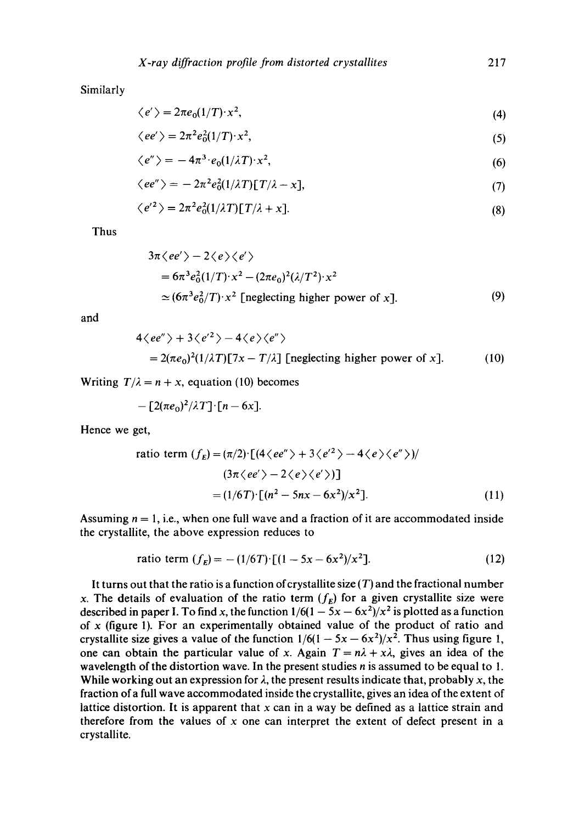$$
\langle e' \rangle = 2\pi e_0 (1/T) \cdot x^2,\tag{4}
$$

$$
\langle ee' \rangle = 2\pi^2 e_0^2 (1/T) \cdot x^2,\tag{5}
$$

$$
\langle e'' \rangle = -4\pi^3 \cdot e_0(1/\lambda T) \cdot x^2,\tag{6}
$$

$$
\langle ee'' \rangle = -2\pi^2 e_0^2 (1/\lambda T) [T/\lambda - x], \tag{7}
$$

$$
\langle e'^2 \rangle = 2\pi^2 e_0^2 (1/\lambda T) [T/\lambda + x]. \tag{8}
$$

Thus

$$
3\pi \langle ee' \rangle - 2 \langle e \rangle \langle e' \rangle
$$
  
=  $6\pi^3 e_0^2 (1/T) \cdot x^2 - (2\pi e_0)^2 (\lambda/T^2) \cdot x^2$   
\approx  $(6\pi^3 e_0^2/T) \cdot x^2$  [neglecting higher power of x]. (9)

and

$$
4\langle ee'' \rangle + 3\langle e'^2 \rangle - 4\langle e \rangle \langle e'' \rangle
$$
  
= 2( $\pi e_0$ )<sup>2</sup>(1/ $\lambda$ ) $\Gamma$ /7x - T/ $\lambda$ ] [neglecting higher power of x]. (10)

Writing  $T/\lambda = n + x$ , equation (10) becomes

$$
-[2(\pi e_0)^2/\lambda T]\cdot[n-6x].
$$

Hence we get,

ratio term 
$$
(f_E) = (\pi/2) \cdot [(4 \langle ee'' \rangle + 3 \langle e'^2 \rangle - 4 \langle e \rangle \langle e'' \rangle)]
$$
  
\n
$$
(3\pi \langle ee' \rangle - 2 \langle e \rangle \langle e' \rangle)]
$$
\n
$$
= (1/6T) \cdot [(n^2 - 5nx - 6x^2)/x^2].
$$
\n(11)

Assuming  $n = 1$ , i.e., when one full wave and a fraction of it are accommodated inside the crystallite, the above expression reduces to

ratio term 
$$
(f_E) = -(1/6T) \cdot [(1 - 5x - 6x^2)/x^2]
$$
. (12)

It turns out that the ratio is a function of crystallite size  $(T)$  and the fractional number x. The details of evaluation of the ratio term  $(f_E)$  for a given crystallite size were described in paper I. To find x, the function  $1/6(1 - 5x - 6x^2)/x^2$  is plotted as a function of  $x$  (figure 1). For an experimentally obtained value of the product of ratio and crystallite size gives a value of the function  $1/6(1 - 5x - 6x^2)/x^2$ . Thus using figure 1, one can obtain the particular value of x. Again  $T = n\lambda + x\lambda$ , gives an idea of the wavelength of the distortion wave. In the present studies *n* is assumed to be equal to 1. While working out an expression for  $\lambda$ , the present results indicate that, probably x, the fraction of a full wave accommodated inside the crystallite, gives an idea of the extent of lattice distortion. It is apparent that  $x$  can in a way be defined as a lattice strain and therefore from the values of  $x$  one can interpret the extent of defect present in a crystallite.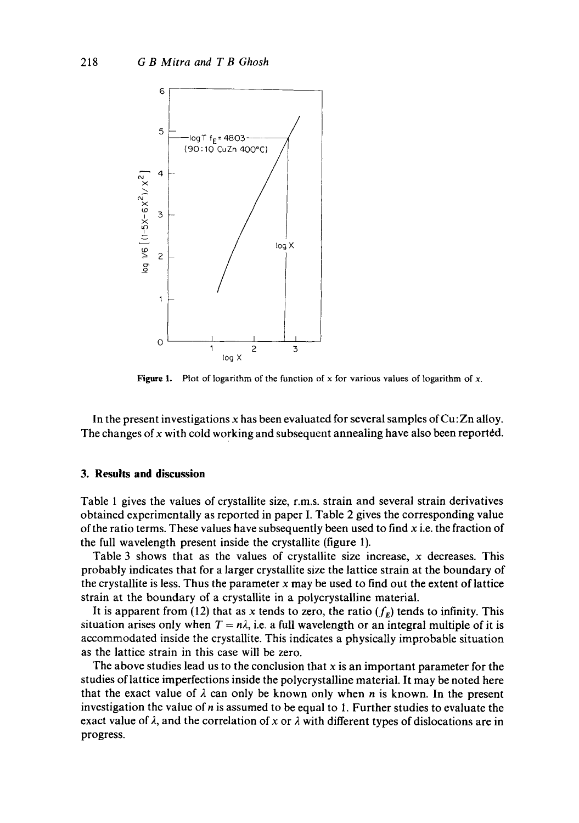

**Figure** 1. Plot of logarithm of the function of x for various values of logarithm of x.

In the present investigations  $x$  has been evaluated for several samples of  $Cu:Zn$  alloy. The changes of  $x$  with cold working and subsequent annealing have also been reported.

#### **3. Results and discussion**

Table 1 gives the values of crystallite size, r.m,s, strain and several strain derivatives obtained experimentally as reported in paper I. Table 2 gives the corresponding value of the ratio terms. These values have subsequently been used to find  $x$  i.e. the fraction of the full wavelength present inside the crystallite (figure 1).

Table 3 shows that as the values of crystallite size increase,  $x$  decreases. This probably indicates that for a larger crystallite size the lattice strain at the boundary of the crystallite is less. Thus the parameter  $x$  may be used to find out the extent of lattice strain at the boundary of a crystallite in a polycrystalline material.

It is apparent from (12) that as x tends to zero, the ratio  $(f<sub>E</sub>)$  tends to infinity. This situation arises only when  $T = n\lambda$ , i.e. a full wavelength or an integral multiple of it is accommodated inside the crystallite. This indicates a physically improbable situation as the lattice strain in this case will be zero.

The above studies lead us to the conclusion that  $x$  is an important parameter for the studies of lattice imperfections inside the polycrystalline material. It may be noted here that the exact value of  $\lambda$  can only be known only when n is known. In the present investigation the value of  $n$  is assumed to be equal to 1. Further studies to evaluate the exact value of  $\lambda$ , and the correlation of x or  $\lambda$  with different types of dislocations are in progress.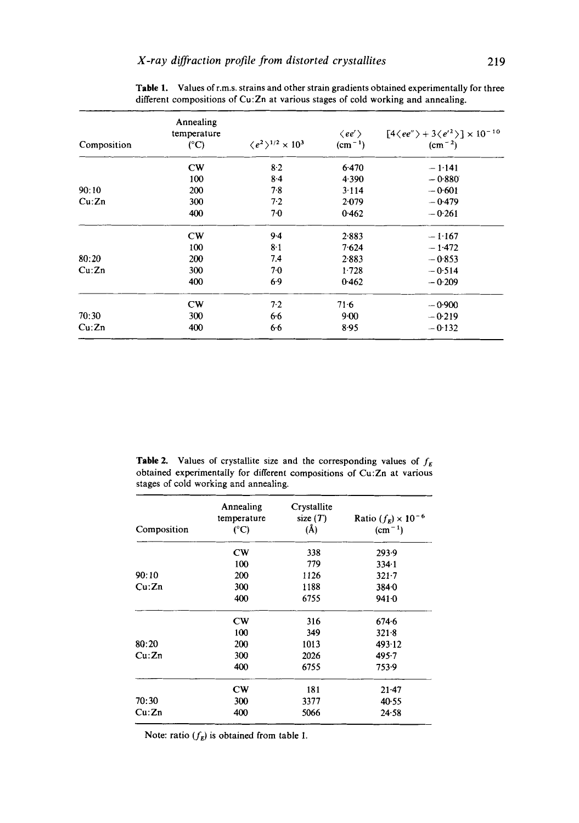| Composition | Annealing<br>temperature<br>$(^{\circ}C)$ | $\langle e^2 \rangle^{1/2} \times 10^3$ | $\langle ee' \rangle$<br>$(cm-1)$ | $[4 \langle ee'' \rangle + 3 \langle e'^2 \rangle] \times 10^{-10}$<br>$\rm (cm^{-2})$ |
|-------------|-------------------------------------------|-----------------------------------------|-----------------------------------|----------------------------------------------------------------------------------------|
|             | $1$                                       | $8-2$                                   | 6.470                             | $-1.141$                                                                               |
|             | 100                                       | $8-4$                                   | 4.390                             | $-0.880$                                                                               |
| 90:10       | 200                                       | 7.8                                     | 3.114                             | $-0.601$                                                                               |
| Cu:Zn       | 300                                       | 7.2                                     | 2.079                             | $-0.479$                                                                               |
|             | 400                                       | 7.0                                     | 0.462                             | $-0.261$                                                                               |
|             | CW                                        | $9-4$                                   | 2.883                             | $-1.167$                                                                               |
|             | 100                                       | 8.1                                     | 7.624                             | $-1.472$                                                                               |
| 80:20       | 200                                       | 7.4                                     | 2.883                             | $-0.853$                                                                               |
| Cu:Zn       | 300                                       | $7-0$                                   | 1.728                             | $-0.514$                                                                               |
|             | 400                                       | $6-9$                                   | 0.462                             | $-0.209$                                                                               |
|             | CW                                        | 7.2                                     | $71-6$                            | $-0.900$                                                                               |
| 70:30       | 300                                       | 6.6                                     | 9.00                              | $-0.219$                                                                               |
| Cu:Zn       | 400                                       | 6.6                                     | 8.95                              | $-0.132$                                                                               |

Table 1. Values of r.m.s, strains and other strain gradients obtained experimentally for three different compositions of Cu:Zn at various stages of cold working and annealing.

**Table 2.** Values of crystallite size and the corresponding values of  $f<sub>E</sub>$ obtained experimentally for different compositions of Cu:Zn at various stages of cold working and annealing.

| Composition | Annealing<br>temperature<br>(°C) | Crystallite<br>size $(T)$<br>$(\AA)$ | Ratio $(f_E) \times 10^{-6}$<br>$(cm-1)$ |
|-------------|----------------------------------|--------------------------------------|------------------------------------------|
|             | $cm$                             | 338                                  | 293.9                                    |
|             | 100                              | 779                                  | 334.1                                    |
| 90:10       | 200                              | 1126                                 | $321 - 7$                                |
| Cu:Zn       | 300                              | 1188                                 | 384.0                                    |
|             | 400                              | 6755                                 | 9410                                     |
|             | $1$                              | 316                                  | $674 - 6$                                |
|             | 100                              | 349                                  | 321.8                                    |
| 80:20       | 200                              | 1013                                 | 493.12                                   |
| Cu:Zn       | 300                              | 2026                                 | 495.7                                    |
|             | 400                              | 6755                                 | 753.9                                    |
|             | $cm$                             | 181                                  | $21-47$                                  |
| 70:30       | 300                              | 3377                                 | 40.55                                    |
| Cu:Zn       | 400                              | 5066                                 | $24 - 58$                                |

Note: ratio  $(f_E)$  is obtained from table 1.